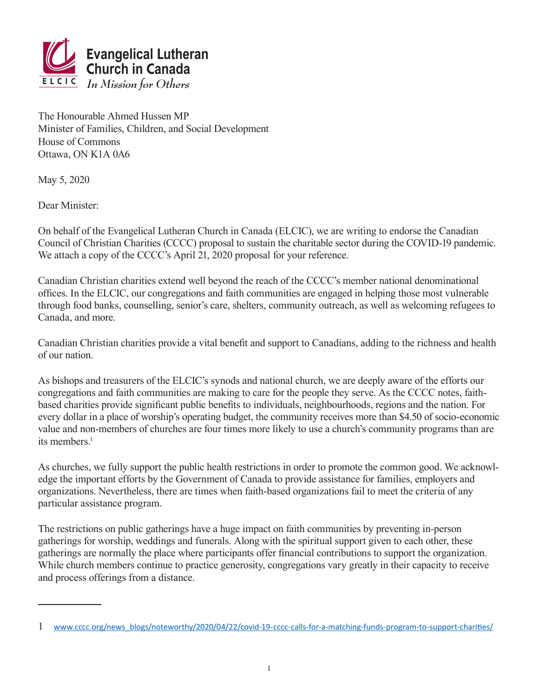

The Honourable Ahmed Hussen MP Minister of Families, Children, and Social Development House of Commons Ottawa, ON K1A 0A6

May 5, 2020

Dear Minister:

On behalf of the Evangelical Lutheran Church in Canada (ELCIC), we are writing to endorse the Canadian Council of Christian Charities (CCCC) proposal to sustain the charitable sector during the COVID-19 pandemic. We attach a copy of the CCCC's April 21, 2020 proposal for your reference.

Canadian Christian charities extend well beyond the reach of the CCCC's member national denominational offices. In the ELCIC, our congregations and faith communities are engaged in helping those most vulnerable through food banks, counselling, senior's care, shelters, community outreach, as well as welcoming refugees to Canada, and more.

Canadian Christian charities provide a vital benefit and support to Canadians, adding to the richness and health of our nation.

As bishops and treasurers of the ELCIC's synods and national church, we are deeply aware of the efforts our congregations and faith communities are making to care for the people they serve. As the CCCC notes, faithbased charities provide significant public benefits to individuals, neighbourhoods, regions and the nation. For every dollar in a place of worship's operating budget, the community receives more than \$4.50 of socio-economic value and non-members of churches are four times more likely to use a church's community programs than are its members<sup> $1$ </sup>

As churches, we fully support the public health restrictions in order to promote the common good. We acknowledge the important efforts by the Government of Canada to provide assistance for families, employers and organizations. Nevertheless, there are times when faith-based organizations fail to meet the criteria of any particular assistance program.

The restrictions on public gatherings have a huge impact on faith communities by preventing in-person gatherings for worship, weddings and funerals. Along with the spiritual support given to each other, these gatherings are normally the place where participants offer financial contributions to support the organization. While church members continue to practice generosity, congregations vary greatly in their capacity to receive and process offerings from a distance.

<sup>1</sup> [www.cccc.org/news\\_blogs/noteworthy/2020/04/22/covid-19-cccc-calls-for-a-matching-funds-program-to-support-charities/](http://www.cccc.org/news_blogs/noteworthy/2020/04/22/covid-19-cccc-calls-for-a-matching-funds-program-to-support-charities/)